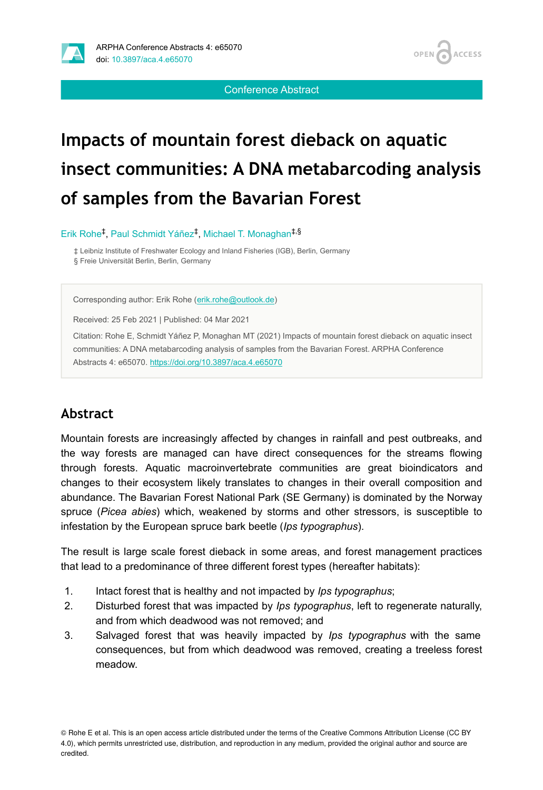

**ACCESS** OPEN /

Conference Abstract

# **Impacts of mountain forest dieback on aquatic insect communities: A DNA metabarcoding analysis of samples from the Bavarian Forest**

Erik Rohe<sup>‡</sup>, Paul Schmidt Yáñez<sup>‡</sup>, Michael T. Monaghan<sup>‡,§</sup>

‡ Leibniz Institute of Freshwater Ecology and Inland Fisheries (IGB), Berlin, Germany § Freie Universität Berlin, Berlin, Germany

Corresponding author: Erik Rohe ([erik.rohe@outlook.de](mailto:erik.rohe@outlook.de))

Received: 25 Feb 2021 | Published: 04 Mar 2021

Citation: Rohe E, Schmidt Yáñez P, Monaghan MT (2021) Impacts of mountain forest dieback on aquatic insect communities: A DNA metabarcoding analysis of samples from the Bavarian Forest. ARPHA Conference Abstracts 4: e65070.<https://doi.org/10.3897/aca.4.e65070>

# **Abstract**

Mountain forests are increasingly affected by changes in rainfall and pest outbreaks, and the way forests are managed can have direct consequences for the streams flowing through forests. Aquatic macroinvertebrate communities are great bioindicators and changes to their ecosystem likely translates to changes in their overall composition and abundance. The Bavarian Forest National Park (SE Germany) is dominated by the Norway spruce (*Picea abies*) which, weakened by storms and other stressors, is susceptible to infestation by the European spruce bark beetle (*Ips typographus*).

The result is large scale forest dieback in some areas, and forest management practices that lead to a predominance of three different forest types (hereafter habitats):

- 1. Intact forest that is healthy and not impacted by *Ips typographus*;
- 2. Disturbed forest that was impacted by *Ips typographus*, left to regenerate naturally, and from which deadwood was not removed; and
- 3. Salvaged forest that was heavily impacted by *Ips typographus* with the same consequences, but from which deadwood was removed, creating a treeless forest meadow.